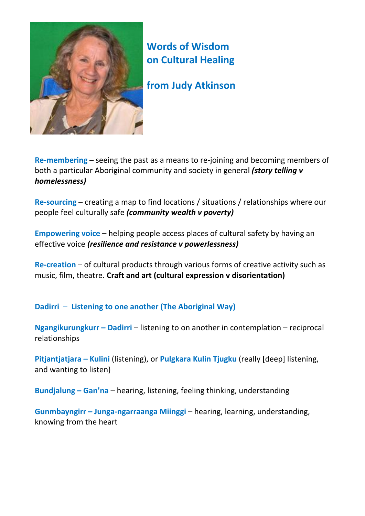

## **Words of Wisdom on Cultural Healing**

**from Judy Atkinson**

**Re‐membering** – seeing the past as a means to re‐joining and becoming members of both a particular Aboriginal community and society in general *(story telling v homelessness)*

**Re‐sourcing** – creating a map to find locations / situations / relationships where our people feel culturally safe *(community wealth v poverty)*

**Empowering voice** – helping people access places of cultural safety by having an effective voice *(resilience and resistance v powerlessness)*

**Re‐creation** – of cultural products through various forms of creative activity such as music, film, theatre. **Craft and art (cultural expression v disorientation)**

**Dadirri** – **Listening to one another (The Aboriginal Way)**

**Ngangikurungkurr – Dadirri** – listening to on another in contemplation – reciprocal relationships

**Pitjantjatjara – Kulini** (listening), or **Pulgkara Kulin Tjugku** (really [deep] listening, and wanting to listen)

**Bundjalung – Gan'na** – hearing, listening, feeling thinking, understanding

**Gunmbayngirr – Junga‐ngarraanga Miinggi** – hearing, learning, understanding, knowing from the heart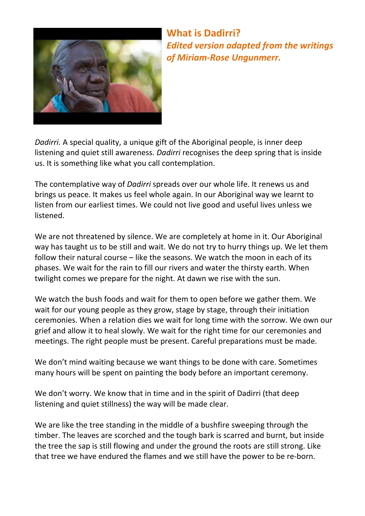

**What is Dadirri?**  *Edited version adapted from the writings of Miriam‐Rose Ungunmerr.*

*Dadirri.* A special quality, a unique gift of the Aboriginal people, is inner deep listening and quiet still awareness. *Dadirri* recognises the deep spring that is inside us. It is something like what you call contemplation.

The contemplative way of *Dadirri* spreads over our whole life. It renews us and brings us peace. It makes us feel whole again. In our Aboriginal way we learnt to listen from our earliest times. We could not live good and useful lives unless we listened.

We are not threatened by silence. We are completely at home in it. Our Aboriginal way has taught us to be still and wait. We do not try to hurry things up. We let them follow their natural course – like the seasons. We watch the moon in each of its phases. We wait for the rain to fill our rivers and water the thirsty earth. When twilight comes we prepare for the night. At dawn we rise with the sun.

We watch the bush foods and wait for them to open before we gather them. We wait for our young people as they grow, stage by stage, through their initiation ceremonies. When a relation dies we wait for long time with the sorrow. We own our grief and allow it to heal slowly. We wait for the right time for our ceremonies and meetings. The right people must be present. Careful preparations must be made.

We don't mind waiting because we want things to be done with care. Sometimes many hours will be spent on painting the body before an important ceremony.

We don't worry. We know that in time and in the spirit of Dadirri (that deep listening and quiet stillness) the way will be made clear.

We are like the tree standing in the middle of a bushfire sweeping through the timber. The leaves are scorched and the tough bark is scarred and burnt, but inside the tree the sap is still flowing and under the ground the roots are still strong. Like that tree we have endured the flames and we still have the power to be re‐born.